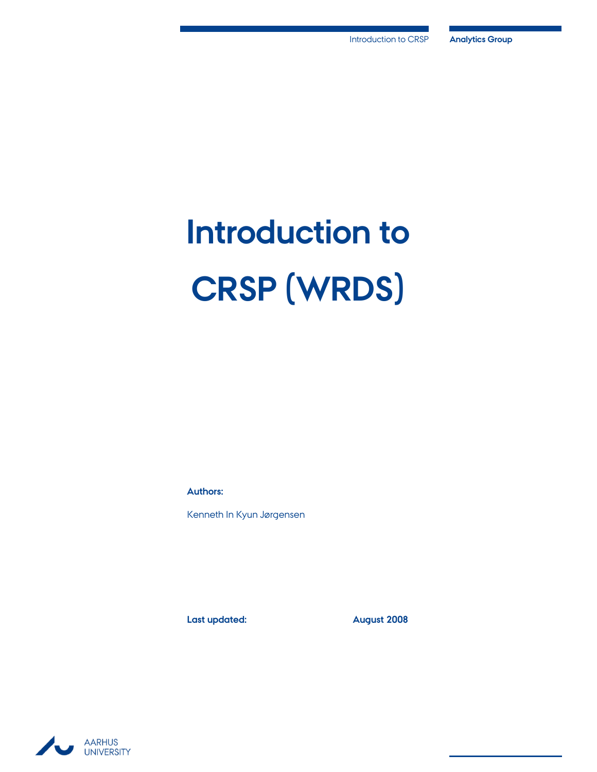# **Introduction to CRSP (WRDS)**

**Authors:**

Kenneth In Kyun Jørgensen

**Last updated: August 2008**

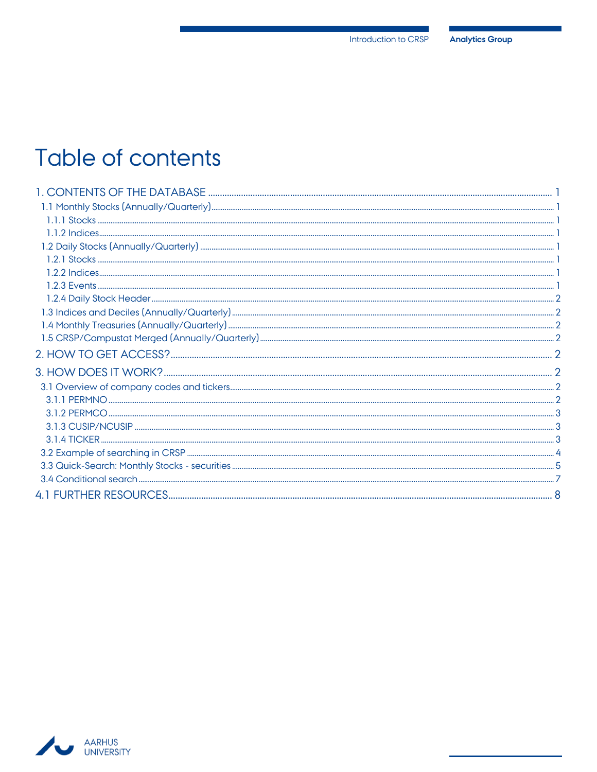## Table of contents

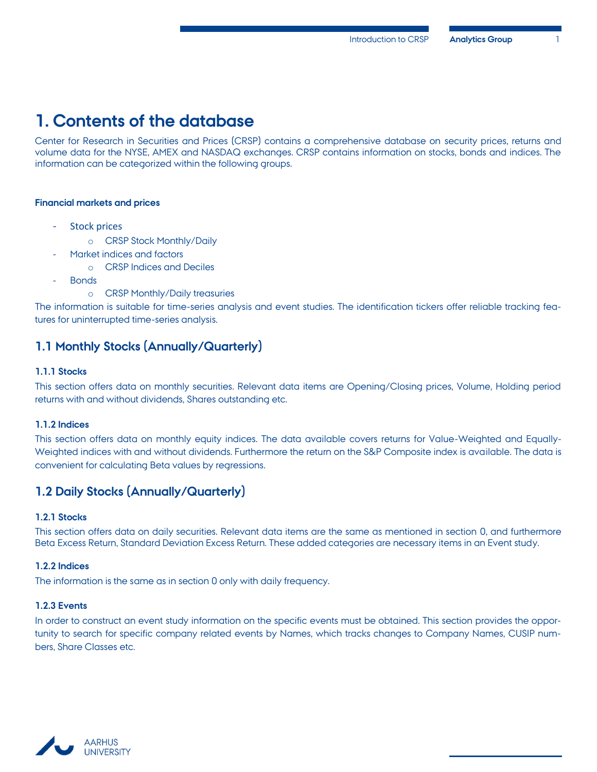## <span id="page-2-0"></span>**1. Contents of the database**

Center for Research in Securities and Prices (CRSP) contains a comprehensive database on security prices, returns and volume data for the NYSE, AMEX and NASDAQ exchanges. CRSP contains information on stocks, bonds and indices. The information can be categorized within the following groups.

#### **Financial markets and prices**

- Stock prices
	- o CRSP Stock Monthly/Daily
	- Market indices and factors
		- o CRSP Indices and Deciles
- **Bonds** 
	- o CRSP Monthly/Daily treasuries

The information is suitable for time-series analysis and event studies. The identification tickers offer reliable tracking features for uninterrupted time-series analysis.

#### <span id="page-2-1"></span>**1.1 Monthly Stocks (Annually/Quarterly)**

#### <span id="page-2-3"></span>**1.1.1 Stocks**

This section offers data on monthly securities. Relevant data items are Opening/Closing prices, Volume, Holding period returns with and without dividends, Shares outstanding etc.

#### <span id="page-2-4"></span>**1.1.2 Indices**

This section offers data on monthly equity indices. The data available covers returns for Value-Weighted and Equally-Weighted indices with and without dividends. Furthermore the return on the S&P Composite index is available. The data is convenient for calculating Beta values by regressions.

#### <span id="page-2-2"></span>**1.2 Daily Stocks (Annually/Quarterly)**

#### <span id="page-2-5"></span>**1.2.1 Stocks**

This section offers data on daily securities. Relevant data items are the same as mentioned in section [0,](#page-2-5) and furthermore Beta Excess Return, Standard Deviation Excess Return. These added categories are necessary items in an Event study.

#### <span id="page-2-6"></span>**1.2.2 Indices**

The information is the same as in section [0](#page-2-4) only with daily frequency.

#### <span id="page-2-7"></span>**1.2.3 Events**

In order to construct an event study information on the specific events must be obtained. This section provides the opportunity to search for specific company related events by Names, which tracks changes to Company Names, CUSIP numbers, Share Classes etc.

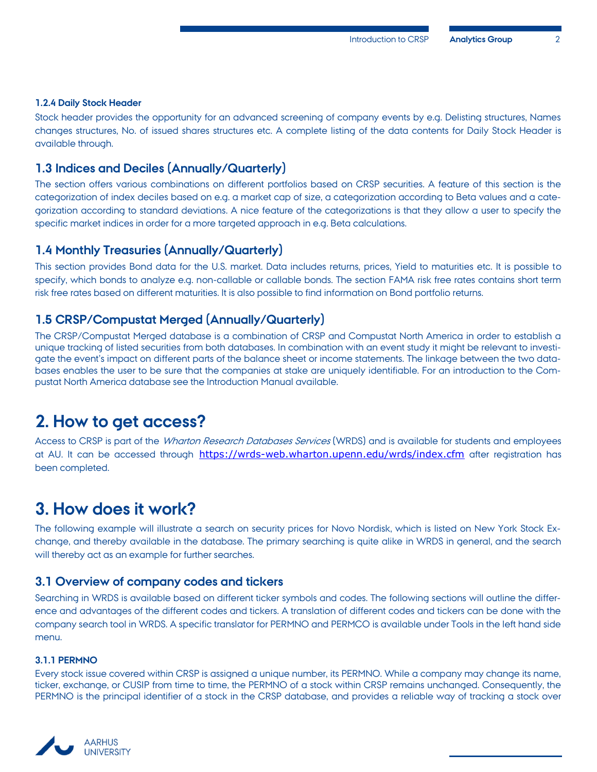#### <span id="page-3-6"></span>**1.2.4 Daily Stock Header**

Stock header provides the opportunity for an advanced screening of company events by e.g. Delisting structures, Names changes structures, No. of issued shares structures etc. A complete listing of the data contents for Daily Stock Header is available through.

#### <span id="page-3-0"></span>**1.3 Indices and Deciles (Annually/Quarterly)**

The section offers various combinations on different portfolios based on CRSP securities. A feature of this section is the categorization of index deciles based on e.g. a market cap of size, a categorization according to Beta values and a categorization according to standard deviations. A nice feature of the categorizations is that they allow a user to specify the specific market indices in order for a more targeted approach in e.g. Beta calculations.

#### <span id="page-3-1"></span>**1.4 Monthly Treasuries (Annually/Quarterly)**

This section provides Bond data for the U.S. market. Data includes returns, prices, Yield to maturities etc. It is possible to specify, which bonds to analyze e.g. non-callable or callable bonds. The section FAMA risk free rates contains short term risk free rates based on different maturities. It is also possible to find information on Bond portfolio returns.

#### <span id="page-3-2"></span>**1.5 CRSP/Compustat Merged (Annually/Quarterly)**

The CRSP/Compustat Merged database is a combination of CRSP and Compustat North America in order to establish a unique tracking of listed securities from both databases. In combination with an event study it might be relevant to investigate the event's impact on different parts of the balance sheet or income statements. The linkage between the two databases enables the user to be sure that the companies at stake are uniquely identifiable. For an introduction to the Compustat North America database see the Introduction Manual available.

## <span id="page-3-3"></span>**2. How to get access?**

Access to CRSP is part of the Wharton Research Databases Services (WRDS) and is available for students and employees at AU. It can be accessed through <https://wrds-web.wharton.upenn.edu/wrds/index.cfm> after registration has been completed.

## <span id="page-3-4"></span>**3. How does it work?**

The following example will illustrate a search on security prices for Novo Nordisk, which is listed on New York Stock Exchange, and thereby available in the database. The primary searching is quite alike in WRDS in general, and the search will thereby act as an example for further searches.

#### <span id="page-3-5"></span>**3.1 Overview of company codes and tickers**

Searching in WRDS is available based on different ticker symbols and codes. The following sections will outline the difference and advantages of the different codes and tickers. A translation of different codes and tickers can be done with the company search tool in WRDS. A specific translator for PERMNO and PERMCO is available under Tools in the left hand side menu.

#### <span id="page-3-7"></span>**3.1.1 PERMNO**

Every stock issue covered within CRSP is assigned a unique number, its PERMNO. While a company may change its name, ticker, exchange, or CUSIP from time to time, the PERMNO of a stock within CRSP remains unchanged. Consequently, the PERMNO is the principal identifier of a stock in the CRSP database, and provides a reliable way of tracking a stock over

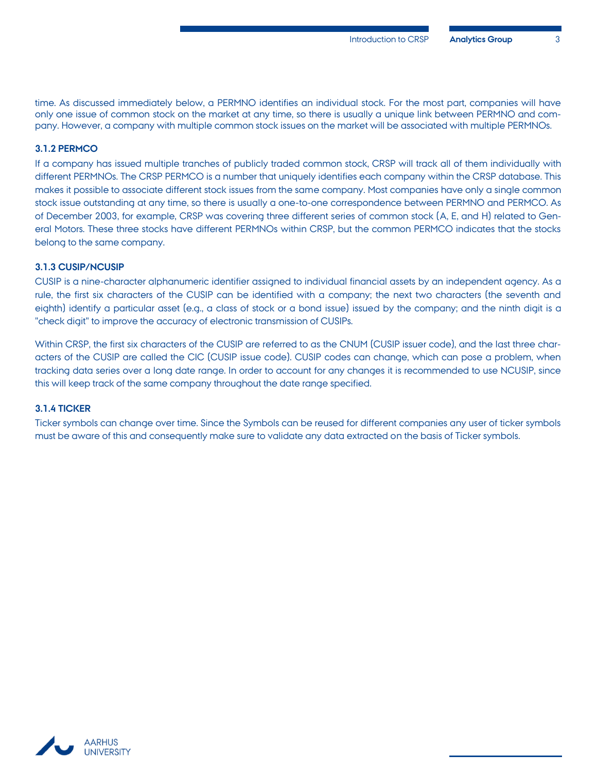time. As discussed immediately below, a PERMNO identifies an individual stock. For the most part, companies will have only one issue of common stock on the market at any time, so there is usually a unique link between PERMNO and company. However, a company with multiple common stock issues on the market will be associated with multiple PERMNOs.

#### <span id="page-4-0"></span>**3.1.2 PERMCO**

If a company has issued multiple tranches of publicly traded common stock, CRSP will track all of them individually with different PERMNOs. The CRSP PERMCO is a number that uniquely identifies each company within the CRSP database. This makes it possible to associate different stock issues from the same company. Most companies have only a single common stock issue outstanding at any time, so there is usually a one-to-one correspondence between PERMNO and PERMCO. As of December 2003, for example, CRSP was covering three different series of common stock (A, E, and H) related to General Motors. These three stocks have different PERMNOs within CRSP, but the common PERMCO indicates that the stocks belong to the same company.

#### <span id="page-4-1"></span>**3.1.3 CUSIP/NCUSIP**

CUSIP is a nine-character alphanumeric identifier assigned to individual financial assets by an independent agency. As a rule, the first six characters of the CUSIP can be identified with a company; the next two characters (the seventh and eighth) identify a particular asset (e.g., a class of stock or a bond issue) issued by the company; and the ninth digit is a "check digit" to improve the accuracy of electronic transmission of CUSIPs.

Within CRSP, the first six characters of the CUSIP are referred to as the CNUM (CUSIP issuer code), and the last three characters of the CUSIP are called the CIC (CUSIP issue code). CUSIP codes can change, which can pose a problem, when tracking data series over a long date range. In order to account for any changes it is recommended to use NCUSIP, since this will keep track of the same company throughout the date range specified.

#### <span id="page-4-2"></span>**3.1.4 TICKER**

Ticker symbols can change over time. Since the Symbols can be reused for different companies any user of ticker symbols must be aware of this and consequently make sure to validate any data extracted on the basis of Ticker symbols.

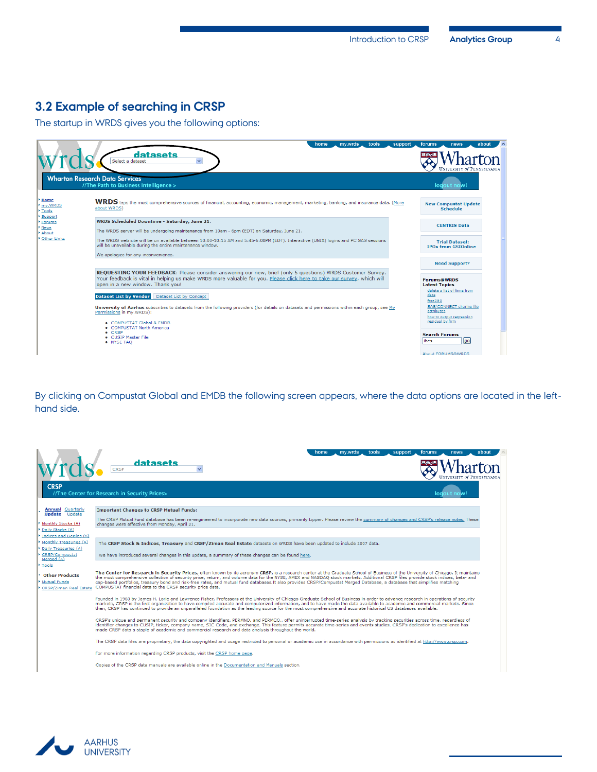## <span id="page-5-0"></span>**3.2 Example of searching in CRSP**

The startup in WRDS gives you the following options:



By clicking on Compustat Global and EMDB the following screen appears, where the data options are located in the lefthand side.

|                                                                                                                      | tools<br>support<br>forums<br>home<br>mv.wrds<br>news<br>abou<br>datasets<br><b>CRSP</b>                                                                                                                                                                                                                                                                                                                                                                                                                                                                                                                     |
|----------------------------------------------------------------------------------------------------------------------|--------------------------------------------------------------------------------------------------------------------------------------------------------------------------------------------------------------------------------------------------------------------------------------------------------------------------------------------------------------------------------------------------------------------------------------------------------------------------------------------------------------------------------------------------------------------------------------------------------------|
| <b>CRSP</b>                                                                                                          | //The Center for Research in Security Prices><br>lodout now!                                                                                                                                                                                                                                                                                                                                                                                                                                                                                                                                                 |
| <b>Annual Quarterly</b><br><b>Update</b> Update<br>Monthly Stocks (A)<br>Daily Stocks (A)<br>Indices and Deciles (A) | <b>Important Changes to CRSP Mutual Funds:</b><br>The CRSP Mutual Fund database has been re-engineered to incorporate new data sources, primarily Lipper. Please review the summary of changes and CRSP's release notes. These<br>changes were effective from Monday, April 21.                                                                                                                                                                                                                                                                                                                              |
| Monthly Treasuries (A)<br>Daily Treasuries (A)<br>CRSP/Compustat<br>Merged (A)<br>Tools                              | The CRSP Stock & Indices, Treasury and CRSP/Ziman Real Estate datasets on WRDS have been updated to include 2007 data.<br>We have introduced several changes in this update, a summary of these changes can be found here.                                                                                                                                                                                                                                                                                                                                                                                   |
| <b>Other Products</b><br>Mutual Funds<br>CRSP/Ziman Real Estate                                                      | The Center for Research in Security Prices, often known by its acronym CRSP, is a research center at the Graduate School of Business of the University of Chicago. It maintains<br>the most comprehensive collection of security price, return, and volume data for the NYSE, AMEX and NASDAO stock markets. Additional CRSP files provide stock indices, beta- and<br>cap-based portfolios, treasury bond and risk-free rates, and mutual fund databases. It also provides CRSP/Compustat Merged Database, a database that simplifies matching<br>COMPUSTAT financial data to the CRSP security price data. |
|                                                                                                                      | Founded in 1960 by James H. Lorie and Lawrence Fisher, Professors at the University of Chicago Graduate School of Business in order to advance research in operations of security<br>markets, CRSP is the first organization to have compiled accurate and computerized information, and to have made the data available to academic and commercial markets. Since<br>then, CRSP has continued to provide an unparalleled foundation as the leading source for the most comprehensive and accurate historical US databases available.                                                                        |
|                                                                                                                      | CRSP's unique and permanent security and company identifiers, PERMNO, and PERMCO., offer uninterrupted time-series analysis by tracking securities across time, regardless of<br>identifier changes to CUSIP, ticker, company name, SIC Code, and exchange. This feature permits accurate time-series and events studies. CRSP's dedication to excellence has<br>made CRSP data a staple of academic and commercial research and data analysis throughout the world.                                                                                                                                         |
|                                                                                                                      | The CRSP data files are proprietary, the data copyrighted and usage restricted to personal or academic use in accordance with permissions as identified at http://www.crsp.com.                                                                                                                                                                                                                                                                                                                                                                                                                              |
|                                                                                                                      | For more information regarding CRSP products, visit the CRSP home page.                                                                                                                                                                                                                                                                                                                                                                                                                                                                                                                                      |
|                                                                                                                      | Copies of the CRSP data manuals are available online in the Documentation and Manuals section.                                                                                                                                                                                                                                                                                                                                                                                                                                                                                                               |

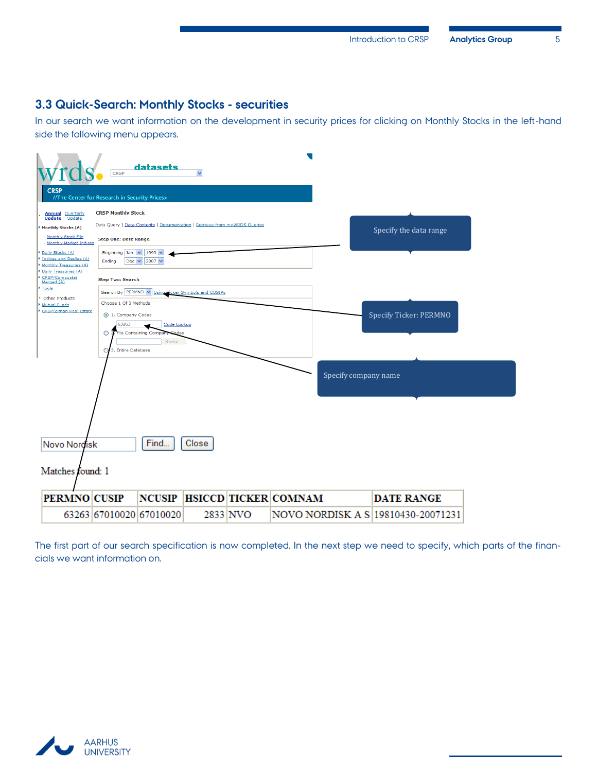## <span id="page-6-0"></span>**3.3 Quick-Search: Monthly Stocks - securities**

In our search we want information on the development in security prices for clicking on Monthly Stocks in the left-hand side the following menu appears.



The first part of our search specification is now completed. In the next step we need to specify, which parts of the financials we want information on.

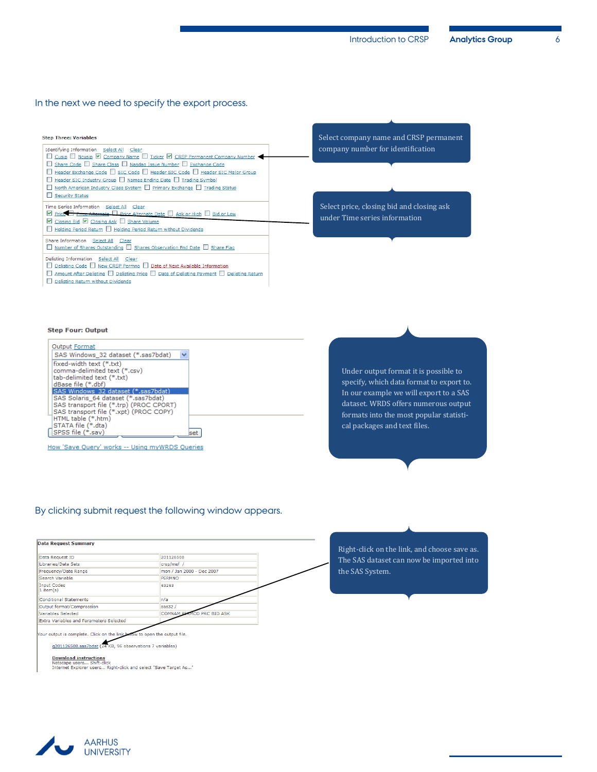#### In the next we need to specify the export process.

| <b>Step Three: Variables</b>                                                                                                                                                                                                                                                                                                                                                                                       |  |
|--------------------------------------------------------------------------------------------------------------------------------------------------------------------------------------------------------------------------------------------------------------------------------------------------------------------------------------------------------------------------------------------------------------------|--|
| Identifying Information Select All Clear<br>Cusip Neusip V Company Name Ticker V CRSP Permanent Company Number<br>Share Code Share Class Nasdaq Issue Number Bxchange Code<br>Header Exchange Code SIC Code Header SIC Code Header SIC Major Group<br>Header SIC Industry Group Names Ending Date Trading Symbol<br>North American Industry Class System Primary Exchange Trading Status<br><b>Security Status</b> |  |
| Time Series Information Select All Clear<br>Price <b>Price Alternate</b> Price Alternate Date Ask or High Bid or Low<br>■ Closing Bid ■ Closing Ask ■ Share Volume                                                                                                                                                                                                                                                 |  |
| Holding Period Return Holding Period Return without Dividends<br>Share Information Select All Clear<br>Number of Shares Outstanding Shares Observation End Date Share Flag                                                                                                                                                                                                                                         |  |
| Delisting Information Select All Clear<br>Delisting Code New CRSP Permno Date of Next Available Information                                                                                                                                                                                                                                                                                                        |  |

Amount After Delisting Delisting Price Date of Delisting Payment D Delisting Return

Select company name and CRSP permanent company number for identification

Select price, closing bid and closing ask under Time series information

## **Step Four: Output**

Delisting Return without Dividends

| <b>Output Format</b>                                                           |     |
|--------------------------------------------------------------------------------|-----|
| SAS Windows 32 dataset (*.sas7bdat)                                            |     |
| fixed-width text (*.txt)<br>comma-delimited text (*.csv)                       |     |
| tab-delimited text (*.txt)<br>dBase file (*.dbf)                               |     |
| SAS Windows 32 dataset (*.sas7bdat)                                            |     |
| SAS Solaris 64 dataset (*.sas7bdat)<br>SAS transport file (*.trp) (PROC CPORT) |     |
| SAS transport file (*.xpt) (PROC COPY)<br>HTML table (*.htm)                   |     |
| STATA file (*.dta)                                                             |     |
| SPSS file (*.sav)                                                              | set |

How 'Save Query' works -- Using myWRDS Queries

Under output format it is possible to specify, which data format to export to. In our example we will export to a SAS dataset. WRDS offers numerous output formats into the most popular statistical packages and text files.

#### By clicking submit request the following window appears.





Download instructions<br>Netscape users... Shift-click<br>Internet Explorer users... Right-click and select "Save Target As..."

**AARHUS UNIVERSITY**  Right-click on the link, and choose save as. The SAS dataset can now be imported into the SAS System.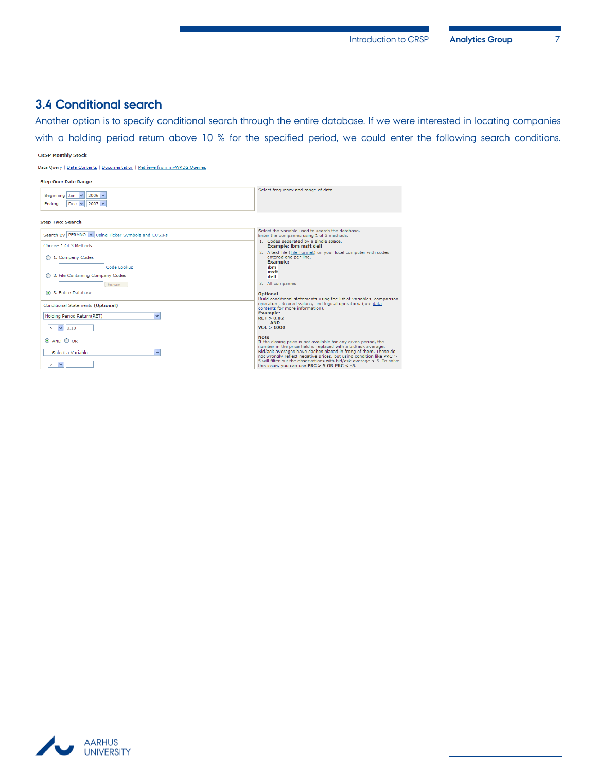## <span id="page-8-0"></span>**3.4 Conditional search**

Another option is to specify conditional search through the entire database. If we were interested in locating companies with a holding period return above 10 % for the specified period, we could enter the following search conditions.

#### **CRSP Monthly Stock**

Data Query | Data Contents | Documentation | Retrieve from myWRDS Queries

| <b>Step One: Date Range</b>                                                                           |                                                                                                                                                                                                                                                                                                                                                                                                                     |
|-------------------------------------------------------------------------------------------------------|---------------------------------------------------------------------------------------------------------------------------------------------------------------------------------------------------------------------------------------------------------------------------------------------------------------------------------------------------------------------------------------------------------------------|
| Beginning Jan $ \mathbf{v} $<br>$2006 \vee$<br>$2007 \vee$<br>Ending<br>Dec $\vee$                    | Select frequency and range of data.                                                                                                                                                                                                                                                                                                                                                                                 |
| <b>Step Two: Search</b>                                                                               |                                                                                                                                                                                                                                                                                                                                                                                                                     |
| Search By PERMNO V Using Ticker Symbols and CUSIPs<br>Choose 1 Of 3 Methods                           | Select the variable used to search the database.<br>Enter the companies using 1 of 3 methods.<br>1. Codes separated by a single space.<br><b>Example: ibm msft dell</b>                                                                                                                                                                                                                                             |
| 1. Company Codes<br>Code Lookup<br>◯ 2. File Containing Company Codes<br>Browse<br>3. Entire Database | 2. A text file (File Format) on your local computer with codes<br>entered one per line.<br><b>Example:</b><br>ibm<br>msft<br>dell<br>3. All companies                                                                                                                                                                                                                                                               |
| Conditional Statements (Optional)<br>Holding Period Return(RET)<br>$\vee$ 0.10                        | <b>Optional</b><br>Build conditional statements using the list of variables, comparison<br>operators, desired values, and logical operators. (see data<br>contents for more information).<br><b>Example:</b><br>RET > 0.02<br><b>AND</b><br>VOL > 1000                                                                                                                                                              |
| $\odot$ AND $\odot$ OR<br>--- Select a Variable ---<br>$\checkmark$<br>×                              | <b>Note</b><br>If the closing price is not available for any given period, the<br>number in the price field is replaced with a bid/ask average.<br>Bid/ask averages have dashes placed in frong of them. These do<br>not wrongly reflect negative prices, but using condition like PRC ><br>5 will filter out the observations with bid/ask average > 5. To solve<br>this issue, you can use PRC $>$ 5 OR PRC < -5. |

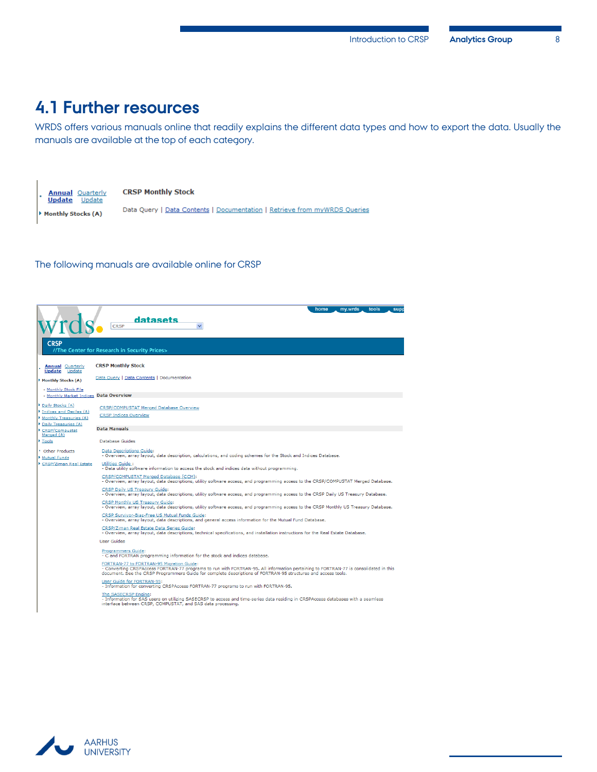## <span id="page-9-0"></span>**4.1 Further resources**

WRDS offers various manuals online that readily explains the different data types and how to export the data. Usually the manuals are available at the top of each category.



#### The following manuals are available online for CRSP

|                                                                                               | home<br>mv.wrds<br>tools<br>supp<br>datasets<br>CRSP                                                                                                                                                                                                                                               |
|-----------------------------------------------------------------------------------------------|----------------------------------------------------------------------------------------------------------------------------------------------------------------------------------------------------------------------------------------------------------------------------------------------------|
| <b>CRSP</b>                                                                                   | //The Center for Research in Security Prices>                                                                                                                                                                                                                                                      |
| <b>Annual Quarterly</b><br><b>Update</b><br>Update                                            | <b>CRSP Monthly Stock</b>                                                                                                                                                                                                                                                                          |
| Monthly Stocks (A)                                                                            | Data Query   Data Contents   Documentation                                                                                                                                                                                                                                                         |
| - Monthly Stock File<br>- Monthly Market Indices Data Overview                                |                                                                                                                                                                                                                                                                                                    |
| Daily Stocks (A)<br>Indices and Deciles (A)<br>Monthly Treasuries (A)<br>Daily Treasuries (A) | <b>CRSP/COMPUSTAT Merged Database Overview</b><br><b>CRSP Indices Overview</b>                                                                                                                                                                                                                     |
| CRSP/Compustat                                                                                | <b>Data Manuals</b>                                                                                                                                                                                                                                                                                |
| Merged (A)<br>Tools                                                                           | Database Guides                                                                                                                                                                                                                                                                                    |
| <b>Other Products</b><br>Mutual Funds                                                         | Data Descriptions Guide:<br>- Overview, array layout, data description, calculations, and coding schemes for the Stock and Indices Database.                                                                                                                                                       |
| CRSP/Ziman Real Estate                                                                        | Utilities Guide:<br>- Data utility software information to access the stock and indices data without programming.                                                                                                                                                                                  |
|                                                                                               | CRSP/COMPUSTAT Merged Database (CCM):<br>- Overview, array layout, data descriptions, utility software access, and programming access to the CRSP/COMPUSTAT Merged Database.                                                                                                                       |
|                                                                                               | <b>CRSP Daily US Treasury Guide:</b><br>- Overview, array layout, data descriptions, utility software access, and programming access to the CRSP Daily US Treasury Database.                                                                                                                       |
|                                                                                               | CRSP Monthly US Treasury Guide:<br>- Overview, array layout, data descriptions, utility software access, and programming access to the CRSP Monthly US Treasury Database.                                                                                                                          |
|                                                                                               | CRSP Survivor-Bias-Free US Mutual Funds Guide:<br>- Overview, array layout, data descriptions, and general access information for the Mutual Fund Database.                                                                                                                                        |
|                                                                                               | CRSP/Ziman Real Estate Data Series Guide:<br>- Overview, array layout, data descriptions, technical specifications, and installation instructions for the Real Estate Database.                                                                                                                    |
|                                                                                               | User Guides                                                                                                                                                                                                                                                                                        |
|                                                                                               | Programmers Guide:<br>- C and FORTRAN programming information for the stock and indices database.                                                                                                                                                                                                  |
|                                                                                               | FORTRAN-77 to FORTRAN-95 Migration Guide:<br>- Converting CRSPAccess FORTRAN-77 programs to run with FORTRAN-95. All information pertaining to FORTRAN-77 is consolidated in this<br>document. See the CRSP Programmers Guide for complete descriptions of FORTRAN-95 structures and access tools. |
|                                                                                               | User Guide for FORTRAN-95:<br>- Information for converting CRSPAccess FORTRAN-77 programs to run with FORTRAN-95.                                                                                                                                                                                  |
|                                                                                               | The SASECRSP Engine:<br>- Information for SAS users on utilizing SASECRSP to access and time-series data residing in CRSPAccess databases with a seamless<br>interface between CRSP, COMPUSTAT, and SAS data processing.                                                                           |